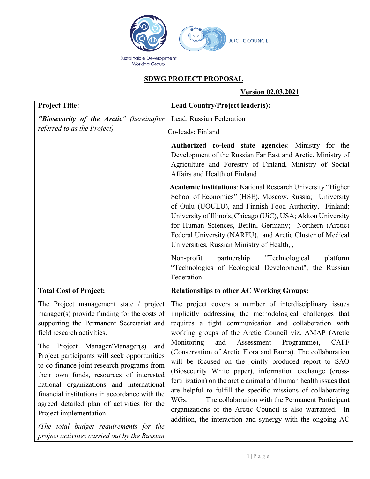

# **SDWG PROJECT PROPOSAL**

## **Version 02.03.2021**

| <b>Project Title:</b>                                                                                                                                                                                                                                                                                                      | Lead Country/Project leader(s):                                                                                                                                                                                                                                                                                                                                                                                                                   |
|----------------------------------------------------------------------------------------------------------------------------------------------------------------------------------------------------------------------------------------------------------------------------------------------------------------------------|---------------------------------------------------------------------------------------------------------------------------------------------------------------------------------------------------------------------------------------------------------------------------------------------------------------------------------------------------------------------------------------------------------------------------------------------------|
| "Biosecurity of the Arctic" (hereinafter                                                                                                                                                                                                                                                                                   | Lead: Russian Federation                                                                                                                                                                                                                                                                                                                                                                                                                          |
| referred to as the Project)                                                                                                                                                                                                                                                                                                | Co-leads: Finland                                                                                                                                                                                                                                                                                                                                                                                                                                 |
|                                                                                                                                                                                                                                                                                                                            | Authorized co-lead state agencies: Ministry for the<br>Development of the Russian Far East and Arctic, Ministry of<br>Agriculture and Forestry of Finland, Ministry of Social<br>Affairs and Health of Finland                                                                                                                                                                                                                                    |
|                                                                                                                                                                                                                                                                                                                            | <b>Academic institutions: National Research University "Higher</b><br>School of Economics" (HSE), Moscow, Russia; University<br>of Oulu (UOULU), and Finnish Food Authority, Finland;<br>University of Illinois, Chicago (UiC), USA; Akkon University<br>for Human Sciences, Berlin, Germany; Northern (Arctic)<br>Federal University (NARFU), and Arctic Cluster of Medical<br>Universities, Russian Ministry of Health,,                        |
|                                                                                                                                                                                                                                                                                                                            | partnership<br>Non-profit<br>"Technological<br>platform<br>"Technologies of Ecological Development", the Russian<br>Federation                                                                                                                                                                                                                                                                                                                    |
| <b>Total Cost of Project:</b>                                                                                                                                                                                                                                                                                              | <b>Relationships to other AC Working Groups:</b>                                                                                                                                                                                                                                                                                                                                                                                                  |
| The Project management state $\ell$ project<br>manager(s) provide funding for the costs of<br>supporting the Permanent Secretariat and<br>field research activities.                                                                                                                                                       | The project covers a number of interdisciplinary issues<br>implicitly addressing the methodological challenges that<br>requires a tight communication and collaboration with<br>working groups of the Arctic Council viz. AMAP (Arctic                                                                                                                                                                                                            |
| The Project Manager/Manager(s)<br>and<br>Project participants will seek opportunities<br>to co-finance joint research programs from<br>their own funds, resources of interested<br>national organizations and international<br>financial institutions in accordance with the<br>agreed detailed plan of activities for the | Monitoring<br>and<br>Assessment<br>Programme),<br><b>CAFF</b><br>(Conservation of Arctic Flora and Fauna). The collaboration<br>will be focused on the jointly produced report to SAO<br>(Biosecurity White paper), information exchange (cross-<br>fertilization) on the arctic animal and human health issues that<br>are helpful to fulfill the specific missions of collaborating<br>The collaboration with the Permanent Participant<br>WGs. |
| Project implementation.<br>(The total budget requirements for the<br>project activities carried out by the Russian                                                                                                                                                                                                         | organizations of the Arctic Council is also warranted. In<br>addition, the interaction and synergy with the ongoing AC                                                                                                                                                                                                                                                                                                                            |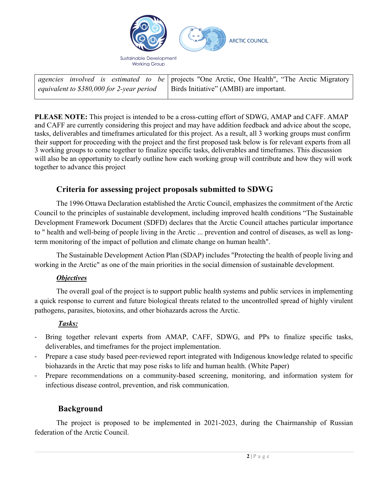

|                                            | agencies involved is estimated to be projects "One Arctic, One Health", "The Arctic Migratory |
|--------------------------------------------|-----------------------------------------------------------------------------------------------|
| equivalent to $$380,000$ for 2-year period | Birds Initiative" (AMBI) are important.                                                       |

**PLEASE NOTE:** This project is intended to be a cross-cutting effort of SDWG, AMAP and CAFF. AMAP and CAFF are currently considering this project and may have addition feedback and advice about the scope, tasks, deliverables and timeframes articulated for this project. As a result, all 3 working groups must confirm their support for proceeding with the project and the first proposed task below is for relevant experts from all 3 working groups to come together to finalize specific tasks, deliverables and timeframes. This discussion will also be an opportunity to clearly outline how each working group will contribute and how they will work together to advance this project

# **Criteria for assessing project proposals submitted to SDWG**

The 1996 Ottawa Declaration established the Arctic Council, emphasizes the commitment of the Arctic Council to the principles of sustainable development, including improved health conditions "The Sustainable Development Framework Document (SDFD) declares that the Arctic Council attaches particular importance to " health and well-being of people living in the Arctic ... prevention and control of diseases, as well as longterm monitoring of the impact of pollution and climate change on human health".

The Sustainable Development Action Plan (SDAP) includes "Protecting the health of people living and working in the Arctic" as one of the main priorities in the social dimension of sustainable development.

### *Objectives*

The overall goal of the project is to support public health systems and public services in implementing a quick response to current and future biological threats related to the uncontrolled spread of highly virulent pathogens, parasites, biotoxins, and other biohazards across the Arctic.

### *Tasks:*

- Bring together relevant experts from AMAP, CAFF, SDWG, and PPs to finalize specific tasks, deliverables, and timeframes for the project implementation.
- Prepare a case study based peer-reviewed report integrated with Indigenous knowledge related to specific biohazards in the Arctic that may pose risks to life and human health. (White Paper)
- Prepare recommendations on a community-based screening, monitoring, and information system for infectious disease control, prevention, and risk communication.

## **Background**

The project is proposed to be implemented in 2021-2023, during the Chairmanship of Russian federation of the Arctic Council.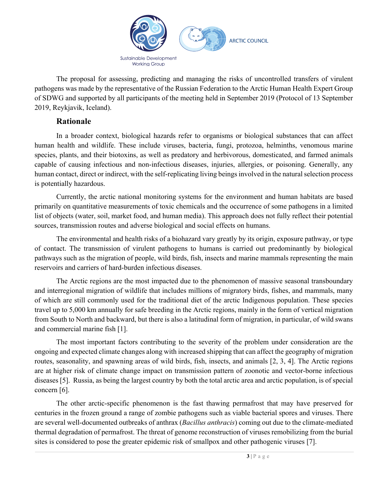

The proposal for assessing, predicting and managing the risks of uncontrolled transfers of virulent pathogens was made by the representative of the Russian Federation to the Arctic Human Health Expert Group of SDWG and supported by all participants of the meeting held in September 2019 (Protocol of 13 September 2019, Reykjavik, Iceland).

### **Rationale**

In a broader context, biological hazards refer to organisms or biological substances that can affect human health and wildlife. These include viruses, bacteria, fungi, protozoa, helminths, venomous marine species, plants, and their biotoxins, as well as predatory and herbivorous, domesticated, and farmed animals capable of causing infectious and non-infectious diseases, injuries, allergies, or poisoning. Generally, any human contact, direct or indirect, with the self-replicating living beings involved in the natural selection process is potentially hazardous.

Currently, the arctic national monitoring systems for the environment and human habitats are based primarily on quantitative measurements of toxic chemicals and the occurrence of some pathogens in a limited list of objects (water, soil, market food, and human media). This approach does not fully reflect their potential sources, transmission routes and adverse biological and social effects on humans.

The environmental and health risks of a biohazard vary greatly by its origin, exposure pathway, or type of contact. The transmission of virulent pathogens to humans is carried out predominantly by biological pathways such as the migration of people, wild birds, fish, insects and marine mammals representing the main reservoirs and carriers of hard-burden infectious diseases.

The Arctic regions are the most impacted due to the phenomenon of massive seasonal transboundary and interregional migration of wildlife that includes millions of migratory birds, fishes, and mammals, many of which are still commonly used for the traditional diet of the arctic Indigenous population. These species travel up to 5,000 km annually for safe breeding in the Arctic regions, mainly in the form of vertical migration from South to North and backward, but there is also a latitudinal form of migration, in particular, of wild swans and commercial marine fish [1].

The most important factors contributing to the severity of the problem under consideration are the ongoing and expected climate changes along with increased shipping that can affect the geography of migration routes, seasonality, and spawning areas of wild birds, fish, insects, and animals [2, 3, 4]. The Arctic regions are at higher risk of climate change impact on transmission pattern of zoonotic and vector-borne infectious diseases [5]. Russia, as being the largest country by both the total arctic area and arctic population, is of special concern [6].

The other arctic-specific phenomenon is the fast thawing permafrost that may have preserved for centuries in the frozen ground a range of zombie pathogens such as viable bacterial spores and viruses. There are several well-documented outbreaks of anthrax (*Bacillus anthracis*) coming out due to the climate-mediated thermal degradation of permafrost. The threat of genome reconstruction of viruses remobilizing from the burial sites is considered to pose the greater epidemic risk of smallpox and other pathogenic viruses [7].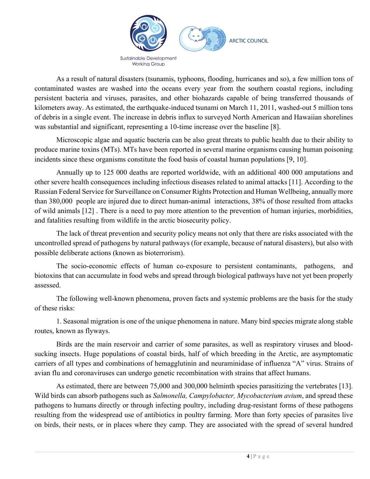

As a result of natural disasters (tsunamis, typhoons, flooding, hurricanes and so), a few million tons of contaminated wastes are washed into the oceans every year from the southern coastal regions, including persistent bacteria and viruses, parasites, and other biohazards capable of being transferred thousands of kilometers away. As estimated, the earthquake-induced tsunami on March 11, 2011, washed-out 5 million tons of debris in a single event. The increase in debris influx to surveyed North American and Hawaiian shorelines was substantial and significant, representing a 10-time increase over the baseline [8].

Microscopic algae and aquatic bacteria can be also great threats to public health due to their ability to produce marine toxins (MTs). MTs have been reported in several marine organisms causing human poisoning incidents since these organisms constitute the food basis of coastal human populations [9, 10].

Annually up to 125 000 deaths are reported worldwide, with an additional 400 000 amputations and other severe health consequences including infectious diseases related to animal attacks [11]. According to the Russian Federal Service for Surveillance on Consumer Rights Protection and Human Wellbeing, annually more than 380,000 people are injured due to direct human-animal interactions, 38% of those resulted from attacks of wild animals [12] . There is a need to pay more attention to the prevention of human injuries, morbidities, and fatalities resulting from wildlife in the arctic biosecurity policy.

The lack of threat prevention and security policy means not only that there are risks associated with the uncontrolled spread of pathogens by natural pathways (for example, because of natural disasters), but also with possible deliberate actions (known as bioterrorism).

The socio-economic effects of human co-exposure to persistent contaminants, pathogens, and biotoxins that can accumulate in food webs and spread through biological pathways have not yet been properly assessed.

The following well-known phenomena, proven facts and systemic problems are the basis for the study of these risks:

1. Seasonal migration is one of the unique phenomena in nature. Many bird species migrate along stable routes, known as flyways.

Birds are the main reservoir and carrier of some parasites, as well as respiratory viruses and bloodsucking insects. Huge populations of coastal birds, half of which breeding in the Arctic, are asymptomatic carriers of all types and combinations of hemagglutinin and neuraminidase of influenza "A" virus. Strains of avian flu and coronaviruses can undergo genetic recombination with strains that affect humans.

As estimated, there are between 75,000 and 300,000 helminth species parasitizing the vertebrates [13]. Wild birds can absorb pathogens such as *Salmonella, Campylobacter, Mycobacterium avium*, and spread these pathogens to humans directly or through infecting poultry, including drug-resistant forms of these pathogens resulting from the widespread use of antibiotics in poultry farming. More than forty species of parasites live on birds, their nests, or in places where they camp. They are associated with the spread of several hundred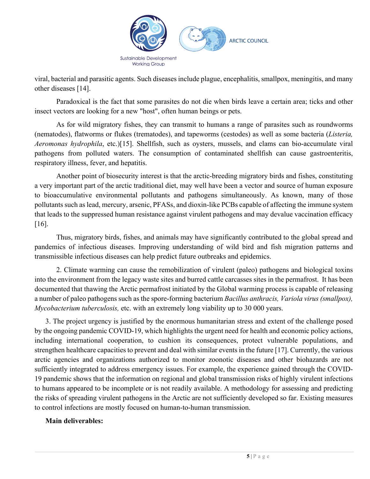

viral, bacterial and parasitic agents. Such diseases include plague, encephalitis, smallpox, meningitis, and many other diseases [14].

Paradoxical is the fact that some parasites do not die when birds leave a certain area; ticks and other insect vectors are looking for a new "host", often human beings or pets.

As for wild migratory fishes, they can transmit to humans a range of parasites such as roundworms (nematodes), flatworms or flukes (trematodes), and tapeworms (cestodes) as well as some bacteria (*Listeria, Aeromonas hydrophila*, etc.)[15]. Shellfish, such as oysters, mussels, and clams can bio-accumulate viral pathogens from polluted waters. The consumption of contaminated shellfish can cause gastroenteritis, respiratory illness, fever, and hepatitis.

Another point of biosecurity interest is that the arctic-breeding migratory birds and fishes, constituting a very important part of the arctic traditional diet, may well have been a vector and source of human exposure to bioaccumulative environmental pollutants and pathogens simultaneously. As known, many of those pollutants such as lead, mercury, arsenic, PFASs, and dioxin-like PCBs capable of affecting the immune system that leads to the suppressed human resistance against virulent pathogens and may devalue vaccination efficacy [16].

Thus, migratory birds, fishes, and animals may have significantly contributed to the global spread and pandemics of infectious diseases. Improving understanding of wild bird and fish migration patterns and transmissible infectious diseases can help predict future outbreaks and epidemics.

2. Climate warming can cause the remobilization of virulent (paleo) pathogens and biological toxins into the environment from the legacy waste sites and burred cattle carcasses sites in the permafrost. It has been documented that thawing the Arctic permafrost initiated by the Global warming process is capable of releasing a number of paleo pathogens such as the spore-forming bacterium *Bacillus anthracis, Variola virus (smallpox), Mycobacterium tuberculosis,* etc. with an extremely long viability up to 30 000 years.

3. The project urgency is justified by the enormous humanitarian stress and extent of the challenge posed by the ongoing pandemic COVID-19, which highlights the urgent need for health and economic policy actions, including international cooperation, to cushion its consequences, protect vulnerable populations, and strengthen healthcare capacities to prevent and deal with similar events in the future [17]. Currently, the various arctic agencies and organizations authorized to monitor zoonotic diseases and other biohazards are not sufficiently integrated to address emergency issues. For example, the experience gained through the COVID-19 pandemic shows that the information on regional and global transmission risks of highly virulent infections to humans appeared to be incomplete or is not readily available. A methodology for assessing and predicting the risks of spreading virulent pathogens in the Arctic are not sufficiently developed so far. Existing measures to control infections are mostly focused on human-to-human transmission.

#### **Main deliverables:**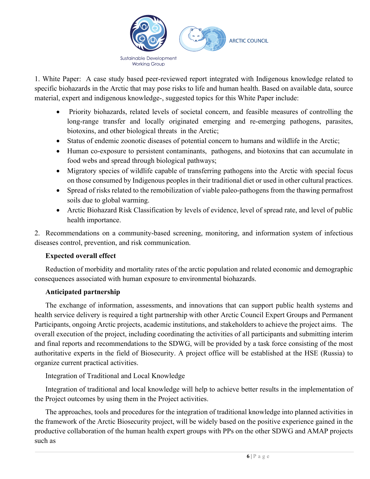

1. White Paper: A case study based peer-reviewed report integrated with Indigenous knowledge related to specific biohazards in the Arctic that may pose risks to life and human health. Based on available data, source material, expert and indigenous knowledge-, suggested topics for this White Paper include:

- Priority biohazards, related levels of societal concern, and feasible measures of controlling the long-range transfer and locally originated emerging and re-emerging pathogens, parasites, biotoxins, and other biological threats in the Arctic;
- Status of endemic zoonotic diseases of potential concern to humans and wildlife in the Arctic;
- Human co-exposure to persistent contaminants, pathogens, and biotoxins that can accumulate in food webs and spread through biological pathways;
- Migratory species of wildlife capable of transferring pathogens into the Arctic with special focus on those consumed by Indigenous peoples in their traditional diet or used in other cultural practices.
- Spread of risks related to the remobilization of viable paleo-pathogens from the thawing permafrost soils due to global warming.
- Arctic Biohazard Risk Classification by levels of evidence, level of spread rate, and level of public health importance.

2. Recommendations on a community-based screening, monitoring, and information system of infectious diseases control, prevention, and risk communication.

### **Expected overall effect**

Reduction of morbidity and mortality rates of the arctic population and related economic and demographic consequences associated with human exposure to environmental biohazards.

### **Anticipated partnership**

The exchange of information, assessments, and innovations that can support public health systems and health service delivery is required a tight partnership with other Arctic Council Expert Groups and Permanent Participants, ongoing Arctic projects, academic institutions, and stakeholders to achieve the project aims. The overall execution of the project, including coordinating the activities of all participants and submitting interim and final reports and recommendations to the SDWG, will be provided by a task force consisting of the most authoritative experts in the field of Biosecurity. A project office will be established at the HSE (Russia) to organize current practical activities.

### Integration of Traditional and Local Knowledge

Integration of traditional and local knowledge will help to achieve better results in the implementation of the Project outcomes by using them in the Project activities.

The approaches, tools and procedures for the integration of traditional knowledge into planned activities in the framework of the Arctic Biosecurity project, will be widely based on the positive experience gained in the productive collaboration of the human health expert groups with PPs on the other SDWG and AMAP projects such as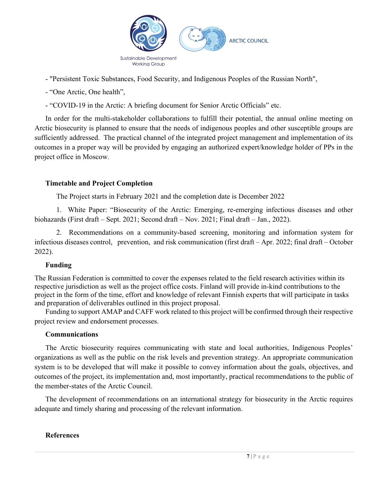

- "Persistent Toxic Substances, Food Security, and Indigenous Peoples of the Russian North",

- "One Arctic, One health",

- "COVID-19 in the Arctic: A briefing document for Senior Arctic Officials" etc.

In order for the multi-stakeholder collaborations to fulfill their potential, the annual online meeting on Arctic biosecurity is planned to ensure that the needs of indigenous peoples and other susceptible groups are sufficiently addressed. The practical channel of the integrated project management and implementation of its outcomes in a proper way will be provided by engaging an authorized expert/knowledge holder of PPs in the project office in Moscow.

### **Timetable and Project Completion**

The Project starts in February 2021 and the completion date is December 2022

1. White Paper: "Biosecurity of the Arctic: Emerging, re-emerging infectious diseases and other biohazards (First draft – Sept. 2021; Second draft – Nov. 2021; Final draft – Jan., 2022).

2. Recommendations on a community-based screening, monitoring and information system for infectious diseases control, prevention, and risk communication (first draft – Apr. 2022; final draft – October 2022).

### **Funding**

The Russian Federation is committed to cover the expenses related to the field research activities within its respective jurisdiction as well as the project office costs. Finland will provide in-kind contributions to the project in the form of the time, effort and knowledge of relevant Finnish experts that will participate in tasks and preparation of deliverables outlined in this project proposal.

Funding to support AMAP and CAFF work related to this project will be confirmed through their respective project review and endorsement processes.

### **Communications**

The Arctic biosecurity requires communicating with state and local authorities, Indigenous Peoples' organizations as well as the public on the risk levels and prevention strategy. An appropriate communication system is to be developed that will make it possible to convey information about the goals, objectives, and outcomes of the project, its implementation and, most importantly, practical recommendations to the public of the member-states of the Arctic Council.

The development of recommendations on an international strategy for biosecurity in the Arctic requires adequate and timely sharing and processing of the relevant information.

### **References**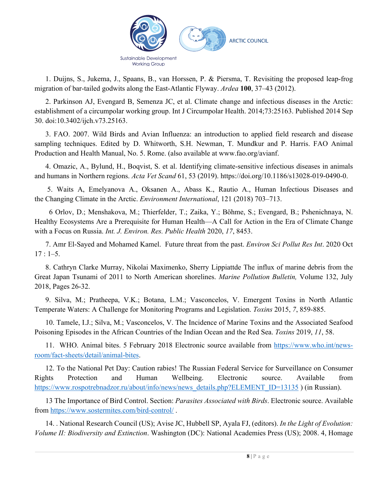

1. Duijns, S., Jukema, J., Spaans, B., van Horssen, P. & Piersma, T. Revisiting the proposed leap-frog migration of bar-tailed godwits along the East-Atlantic Flyway. *Ardea* **100**, 37–43 (2012).

2. Parkinson AJ, Evengard B, Semenza JC, et al. Climate change and infectious diseases in the Arctic: establishment of a circumpolar working group. Int J Circumpolar Health. 2014;73:25163. Published 2014 Sep 30. doi:10.3402/ijch.v73.25163.

3. FAO. 2007. Wild Birds and Avian Influenza: an introduction to applied field research and disease sampling techniques. Edited by D. Whitworth, S.H. Newman, T. Mundkur and P. Harris. FAO Animal Production and Health Manual, No. 5. Rome. (also available at www.fao.org/avianf.

4. Omazic, A., Bylund, H., Boqvist, S. et al. Identifying climate-sensitive infectious diseases in animals and humans in Northern regions. *Acta Vet Scand* 61, 53 (2019). https://doi.org/10.1186/s13028-019-0490-0.

5. Waits A, Emelyanova A., Oksanen A., Abass K., Rautio A., Human Infectious Diseases and the Changing Climate in the Arctic. *Environment International*, 121 (2018) 703–713.

 6 Orlov, D.; Menshakova, M.; Thierfelder, T.; Zaika, Y.; Böhme, S.; Evengard, B.; Pshenichnaya, N. Healthy Ecosystems Are a Prerequisite for Human Health—A Call for Action in the Era of Climate Change with a Focus on Russia. *Int. J. Environ. Res. Public Health* 2020, *17*, 8453.

7. Amr El-Sayed and Mohamed Kamel. Future threat from the past. *Environ Sci Pollut Res Int*. 2020 Oct  $17 : 1 - 5$ .

8. Cathryn Clarke Murray, Nikolai Maximenko, Sherry Lippiattde The influx of marine debris from the Great Japan Tsunami of 2011 to North American shorelines. *Marine Pollution Bulletin,* Volume 132, July 2018, Pages 26-32.

9. Silva, M.; Pratheepa, V.K.; Botana, L.M.; Vasconcelos, V. Emergent Toxins in North Atlantic Temperate Waters: A Challenge for Monitoring Programs and Legislation. *Toxins* 2015, *7*, 859-885.

10. Tamele, I.J.; Silva, M.; Vasconcelos, V. The Incidence of Marine Toxins and the Associated Seafood Poisoning Episodes in the African Countries of the Indian Ocean and the Red Sea. *Toxins* 2019, *11*, 58.

11. WHO. Animal bites. 5 February 2018 Electronic source available from https://www.who.int/newsroom/fact-sheets/detail/animal-bites.

12. To the National Pet Day: Caution rabies! The Russian Federal Service for Surveillance on Consumer Rights Protection and Human Wellbeing. Electronic source. Available from https://www.rospotrebnadzor.ru/about/info/news/news\_details.php?ELEMENT\_ID=13135 ) (in Russian).

13 The Importance of Bird Control. Section: *Parasites Associated with Birds*. Electronic source. Available from https://www.sostermites.com/bird-control/ .

14. . National Research Council (US); Avise JC, Hubbell SP, Ayala FJ, (editors). *In the Light of Evolution: Volume II: Biodiversity and Extinction*. Washington (DC): National Academies Press (US); 2008. 4, Homage